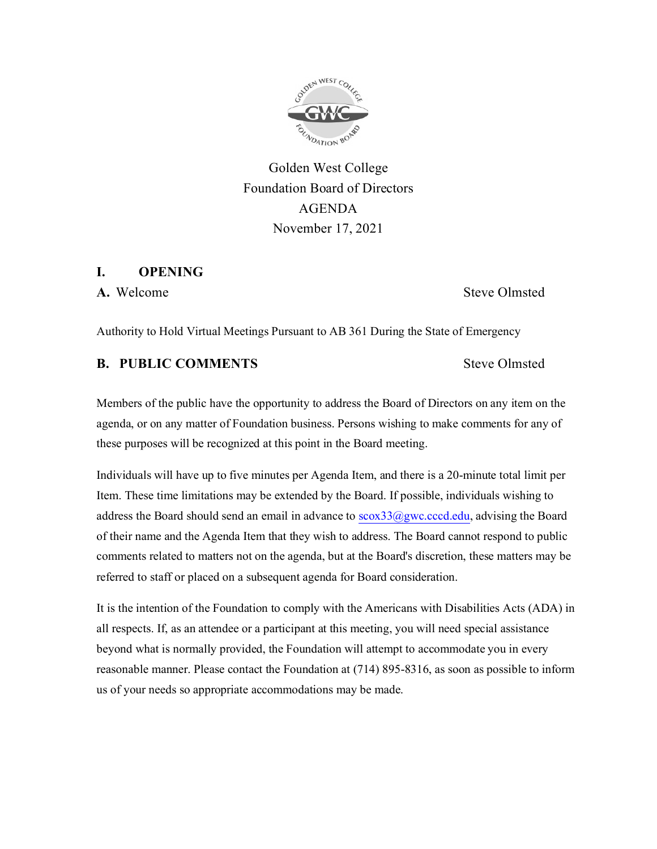

Golden West College Foundation Board of Directors AGENDA November 17, 2021

#### **I. OPENING**

A. Welcome Steve Olmsted

Authority to Hold Virtual Meetings Pursuant to AB 361 During the State of Emergency

#### **B. PUBLIC COMMENTS** Steve Olmsted

Members of the public have the opportunity to address the Board of Directors on any item on the agenda, or on any matter of Foundation business. Persons wishing to make comments for any of these purposes will be recognized at this point in the Board meeting.

Individuals will have up to five minutes per Agenda Item, and there is a 20-minute total limit per Item. These time limitations may be extended by the Board. If possible, individuals wishing to address the Board should send an email in advance to  $scox33$ @gwc.cccd.edu, advising the Board of their name and the Agenda Item that they wish to address. The Board cannot respond to public comments related to matters not on the agenda, but at the Board's discretion, these matters may be referred to staff or placed on a subsequent agenda for Board consideration.

It is the intention of the Foundation to comply with the Americans with Disabilities Acts (ADA) in all respects. If, as an attendee or a participant at this meeting, you will need special assistance beyond what is normally provided, the Foundation will attempt to accommodate you in every reasonable manner. Please contact the Foundation at (714) 895-8316, as soon as possible to inform us of your needs so appropriate accommodations may be made.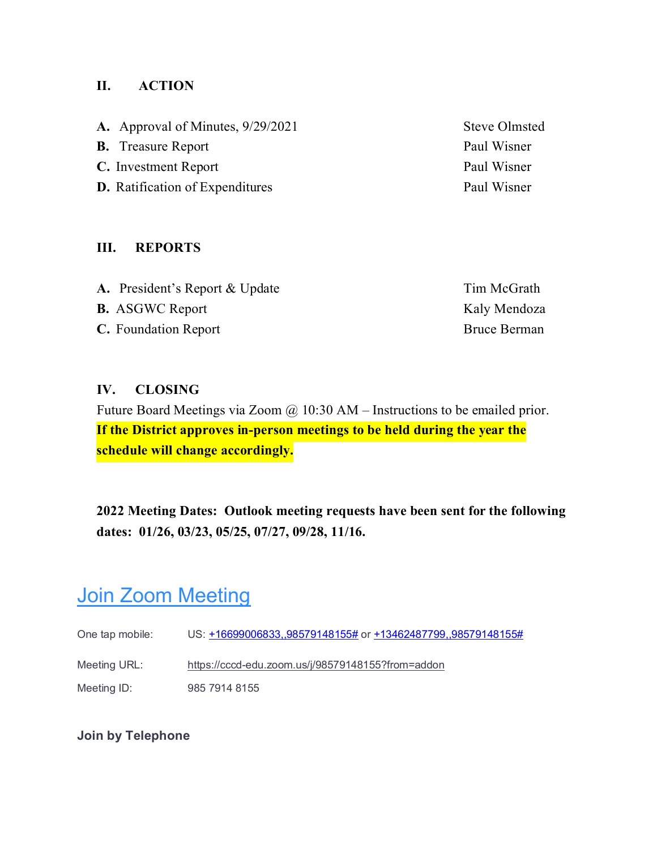#### **II. ACTION**

| A. Approval of Minutes, 9/29/2021      |
|----------------------------------------|
| <b>B.</b> Treasure Report              |
| <b>C.</b> Investment Report            |
| <b>D.</b> Ratification of Expenditures |
|                                        |

## **III. REPORTS**

| <b>A.</b> President's Report & Update | Tim McGrath  |
|---------------------------------------|--------------|
| <b>B.</b> ASGWC Report                | Kaly Mendoza |
| <b>C.</b> Foundation Report           | Bruce Berman |
|                                       |              |

## **IV. CLOSING**

Future Board Meetings via Zoom  $\omega$  10:30 AM – Instructions to be emailed prior. **If the District approves in-person meetings to be held during the year the schedule will change accordingly.**

**2022 Meeting Dates: Outlook meeting requests have been sent for the following dates: 01/26, 03/23, 05/25, 07/27, 09/28, 11/16.**

# **[Join Zoom Meeting](https://cccd-edu.zoom.us/j/98579148155?from=addon)**

- One tap mobile: US: [+16699006833,,98579148155#](tel:+16699006833,,98579148155) or [+13462487799,,98579148155#](tel:+13462487799,,98579148155)
- Meeting URL: <https://cccd-edu.zoom.us/j/98579148155?from=addon>
- Meeting ID: 985 7914 8155

## **Join by Telephone**

**Steve Olmsted** Paul Wisner Paul Wisner Paul Wisner